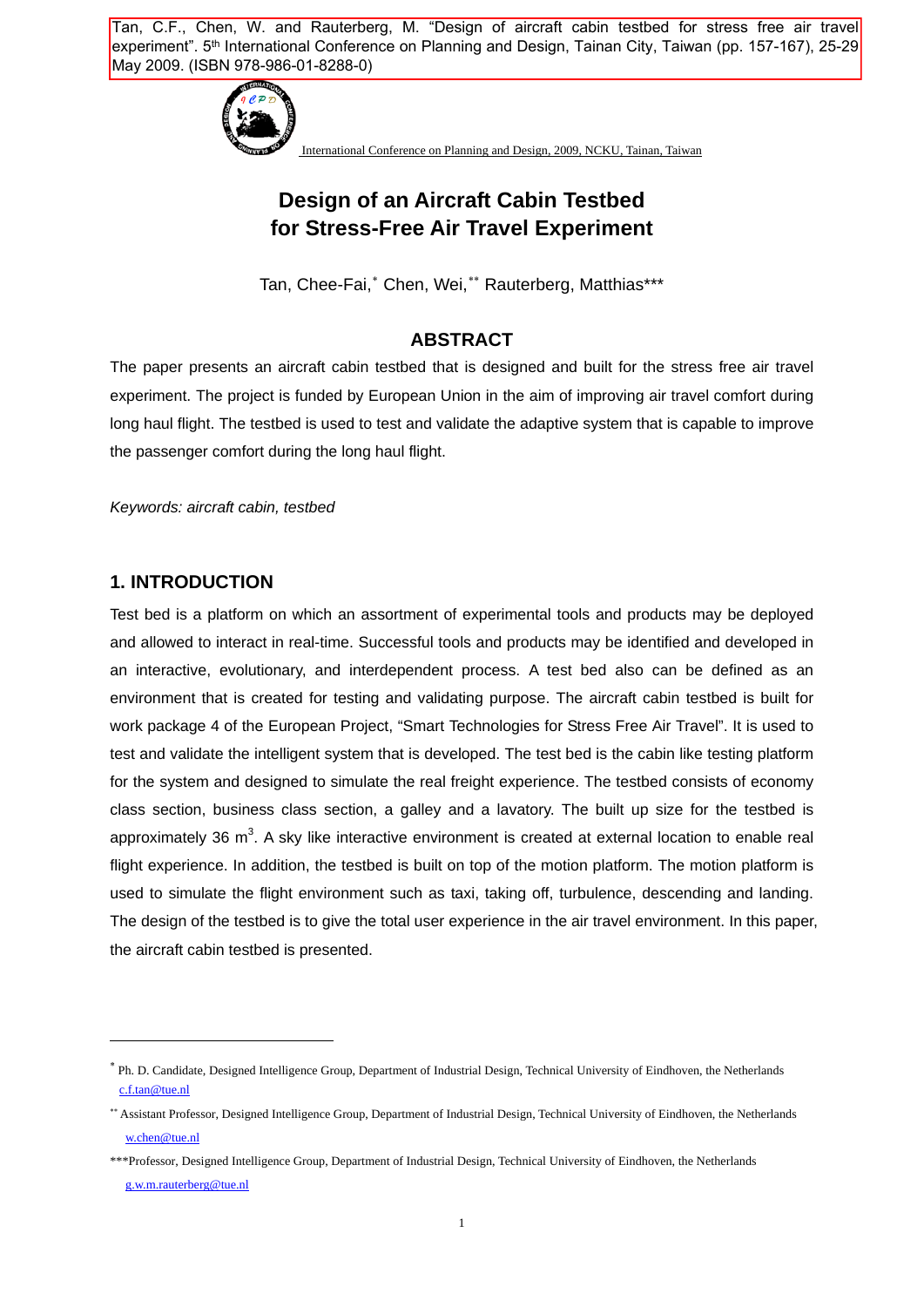Tan, C.F., Chen, W. and Rauterberg, M. "Design of aircraft cabin testbed for stress free air travel experiment". 5<sup>th</sup> International Conference on Planning and Design, Tainan City, Taiwan (pp. 157-167), 25-29 May 2009. (ISBN 978-986-01-8288-0)



International Conference on Planning and Design, 2009, NCKU, Tainan, Taiwan

# **Design of an Aircraft Cabin Testbed for Stress-Free Air Travel Experiment**

Tan, Chee-Fai,<sup>\*</sup> Chen, Wei,\*\* Rauterberg, Matthias\*\*\*

## **ABSTRACT**

The paper presents an aircraft cabin testbed that is designed and built for the stress free air travel experiment. The project is funded by European Union in the aim of improving air travel comfort during long haul flight. The testbed is used to test and validate the adaptive system that is capable to improve the passenger comfort during the long haul flight.

*Keywords: aircraft cabin, testbed* 

#### **1. INTRODUCTION**

1

Test bed is a platform on which an assortment of experimental tools and products may be deployed and allowed to interact in real-time. Successful tools and products may be identified and developed in an interactive, evolutionary, and interdependent process. A test bed also can be defined as an environment that is created for testing and validating purpose. The aircraft cabin testbed is built for work package 4 of the European Project, "Smart Technologies for Stress Free Air Travel". It is used to test and validate the intelligent system that is developed. The test bed is the cabin like testing platform for the system and designed to simulate the real freight experience. The testbed consists of economy class section, business class section, a galley and a lavatory. The built up size for the testbed is approximately 36  $m^3$ . A sky like interactive environment is created at external location to enable real flight experience. In addition, the testbed is built on top of the motion platform. The motion platform is used to simulate the flight environment such as taxi, taking off, turbulence, descending and landing. The design of the testbed is to give the total user experience in the air travel environment. In this paper, the aircraft cabin testbed is presented.

<span id="page-0-0"></span><sup>∗</sup> Ph. D. Candidate, Designed Intelligence Group, Department of Industrial Design, Technical University of Eindhoven, the Netherlands [c.f.tan@tue.nl](mailto:c.f.tan@tue.nl)

<span id="page-0-1"></span><sup>∗∗</sup> Assistant Professor, Designed Intelligence Group, Department of Industrial Design, Technical University of Eindhoven, the Netherlands [w.chen@tue.nl](mailto:w.chen@tue.nl)

<sup>\*\*\*</sup>Professor, Designed Intelligence Group, Department of Industrial Design, Technical University of Eindhoven, the Netherlands [g.w.m.rauterberg@tue.nl](mailto:g.w.m.rauterberg@tue.nl)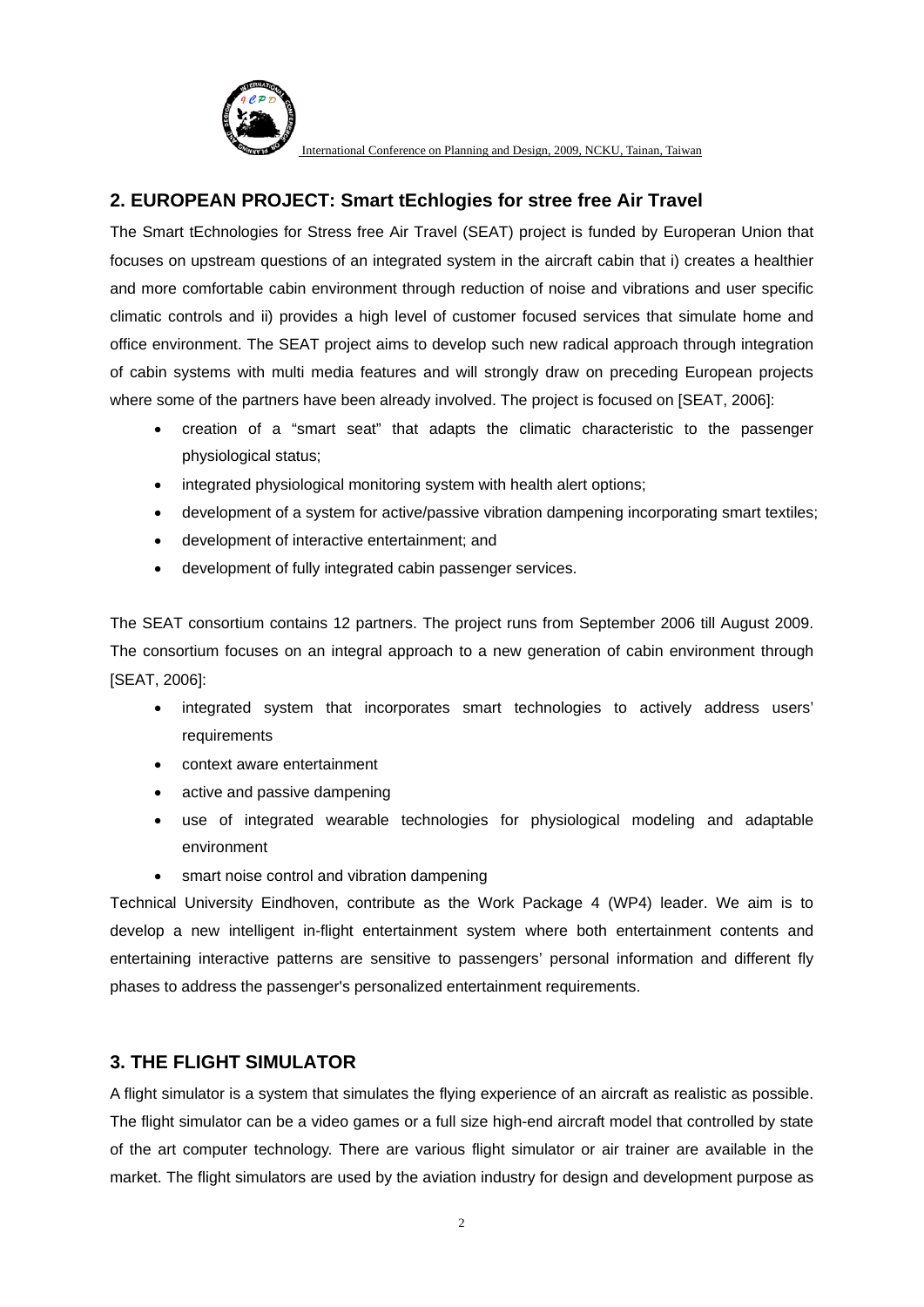

## **2. EUROPEAN PROJECT: Smart tEchlogies for stree free Air Travel**

The Smart tEchnologies for Stress free Air Travel (SEAT) project is funded by Europeran Union that focuses on upstream questions of an integrated system in the aircraft cabin that i) creates a healthier and more comfortable cabin environment through reduction of noise and vibrations and user specific climatic controls and ii) provides a high level of customer focused services that simulate home and office environment. The SEAT project aims to develop such new radical approach through integration of cabin systems with multi media features and will strongly draw on preceding European projects where some of the partners have been already involved. The project is focused on [SEAT, 2006]:

- creation of a "smart seat" that adapts the climatic characteristic to the passenger physiological status;
- integrated physiological monitoring system with health alert options;
- development of a system for active/passive vibration dampening incorporating smart textiles;
- development of interactive entertainment; and
- development of fully integrated cabin passenger services.

The SEAT consortium contains 12 partners. The project runs from September 2006 till August 2009. The consortium focuses on an integral approach to a new generation of cabin environment through [SEAT, 2006]:

- integrated system that incorporates smart technologies to actively address users' requirements
- context aware entertainment
- active and passive dampening
- use of integrated wearable technologies for physiological modeling and adaptable environment
- smart noise control and vibration dampening

Technical University Eindhoven, contribute as the Work Package 4 (WP4) leader. We aim is to develop a new intelligent in-flight entertainment system where both entertainment contents and entertaining interactive patterns are sensitive to passengers' personal information and different fly phases to address the passenger's personalized entertainment requirements.

## **3. THE FLIGHT SIMULATOR**

A flight simulator is a system that simulates the flying experience of an aircraft as realistic as possible. The flight simulator can be a video games or a full size high-end aircraft model that controlled by state of the art computer technology. There are various flight simulator or air trainer are available in the market. The flight simulators are used by the aviation industry for design and development purpose as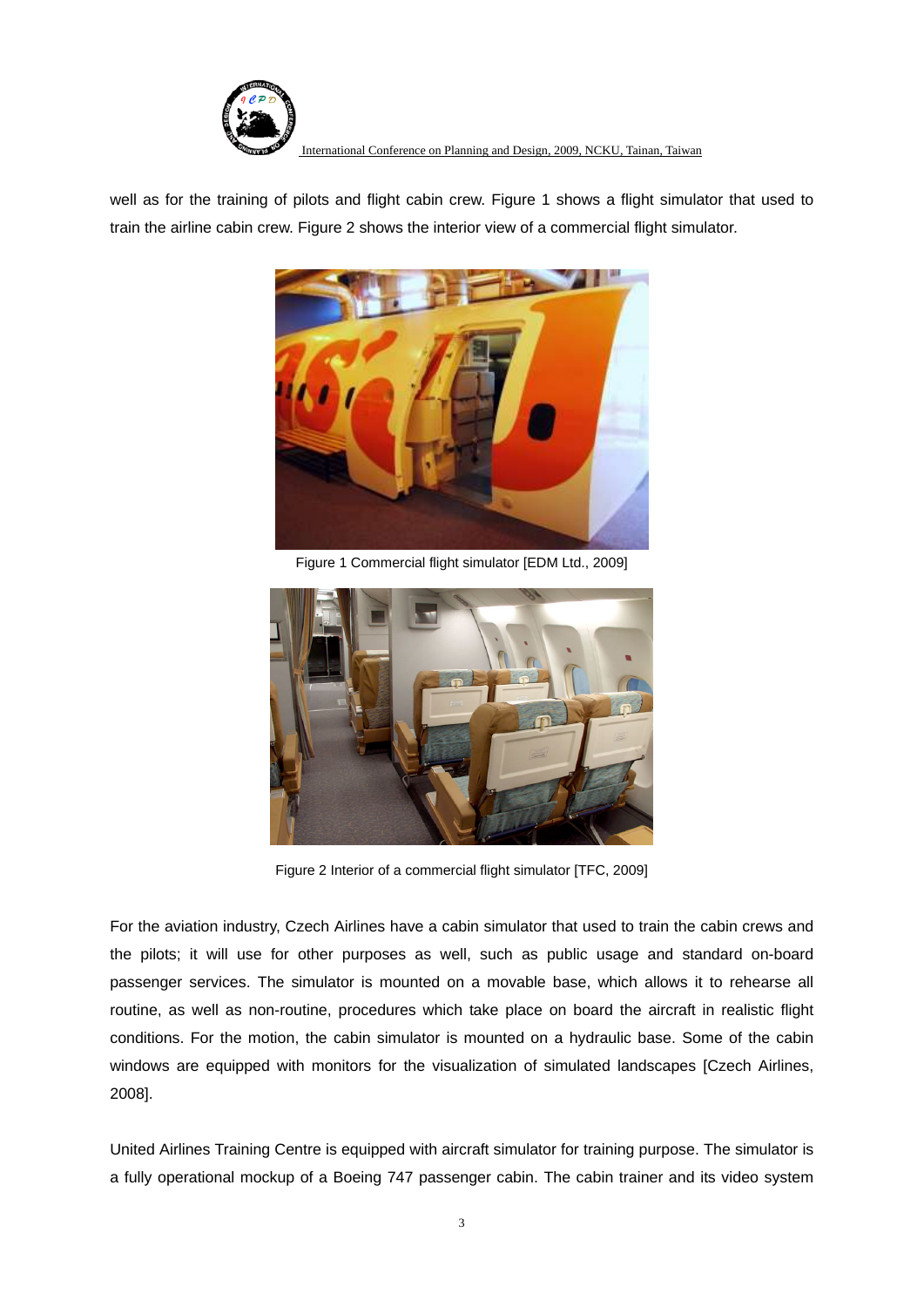

well as for the training of pilots and flight cabin crew. Figure 1 shows a flight simulator that used to train the airline cabin crew. Figure 2 shows the interior view of a commercial flight simulator.



Figure 1 Commercial flight simulator [EDM Ltd., 2009]



Figure 2 Interior of a commercial flight simulator [TFC, 2009]

For the aviation industry, Czech Airlines have a cabin simulator that used to train the cabin crews and the pilots; it will use for other purposes as well, such as public usage and standard on-board passenger services. The simulator is mounted on a movable base, which allows it to rehearse all routine, as well as non-routine, procedures which take place on board the aircraft in realistic flight conditions. For the motion, the cabin simulator is mounted on a hydraulic base. Some of the cabin windows are equipped with monitors for the visualization of simulated landscapes [Czech Airlines, 2008].

United Airlines Training Centre is equipped with aircraft simulator for training purpose. The simulator is a fully operational mockup of a Boeing 747 passenger cabin. The cabin trainer and its video system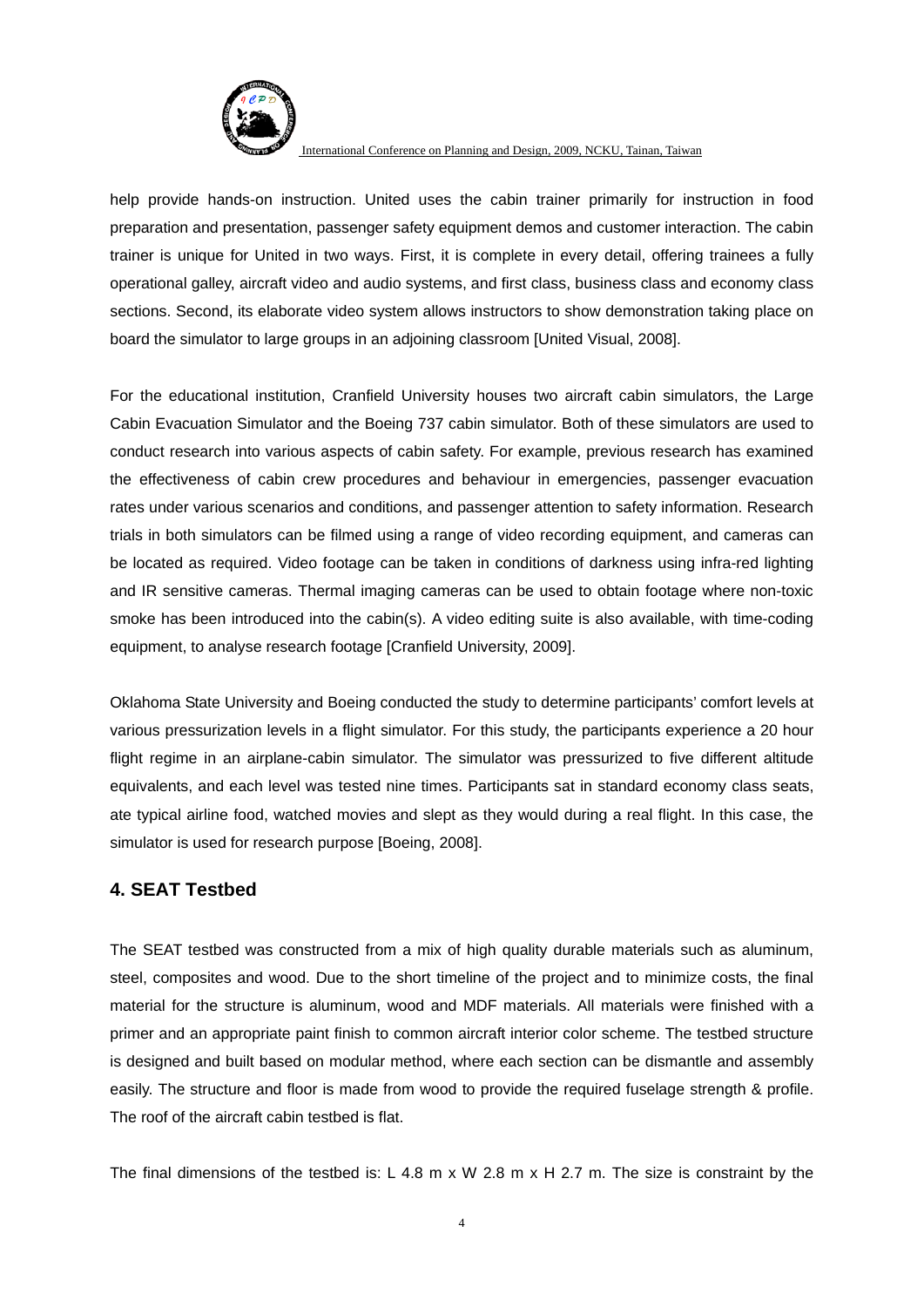

help provide hands-on instruction. United uses the cabin trainer primarily for instruction in food preparation and presentation, passenger safety equipment demos and customer interaction. The cabin trainer is unique for United in two ways. First, it is complete in every detail, offering trainees a fully operational galley, aircraft video and audio systems, and first class, business class and economy class sections. Second, its elaborate video system allows instructors to show demonstration taking place on board the simulator to large groups in an adjoining classroom [United Visual, 2008].

For the educational institution, Cranfield University houses two aircraft cabin simulators, the Large Cabin Evacuation Simulator and the Boeing 737 cabin simulator. Both of these simulators are used to conduct research into various aspects of cabin safety. For example, previous research has examined the effectiveness of cabin crew procedures and behaviour in emergencies, passenger evacuation rates under various scenarios and conditions, and passenger attention to safety information. Research trials in both simulators can be filmed using a range of video recording equipment, and cameras can be located as required. Video footage can be taken in conditions of darkness using infra-red lighting and IR sensitive cameras. Thermal imaging cameras can be used to obtain footage where non-toxic smoke has been introduced into the cabin(s). A video editing suite is also available, with time-coding equipment, to analyse research footage [Cranfield University, 2009].

Oklahoma State University and Boeing conducted the study to determine participants' comfort levels at various pressurization levels in a flight simulator. For this study, the participants experience a 20 hour flight regime in an airplane-cabin simulator. The simulator was pressurized to five different altitude equivalents, and each level was tested nine times. Participants sat in standard economy class seats, ate typical airline food, watched movies and slept as they would during a real flight. In this case, the simulator is used for research purpose [Boeing, 2008].

## **4. SEAT Testbed**

The SEAT testbed was constructed from a mix of high quality durable materials such as aluminum, steel, composites and wood. Due to the short timeline of the project and to minimize costs, the final material for the structure is aluminum, wood and MDF materials. All materials were finished with a primer and an appropriate paint finish to common aircraft interior color scheme. The testbed structure is designed and built based on modular method, where each section can be dismantle and assembly easily. The structure and floor is made from wood to provide the required fuselage strength & profile. The roof of the aircraft cabin testbed is flat.

The final dimensions of the testbed is: L 4.8 m x W 2.8 m x H 2.7 m. The size is constraint by the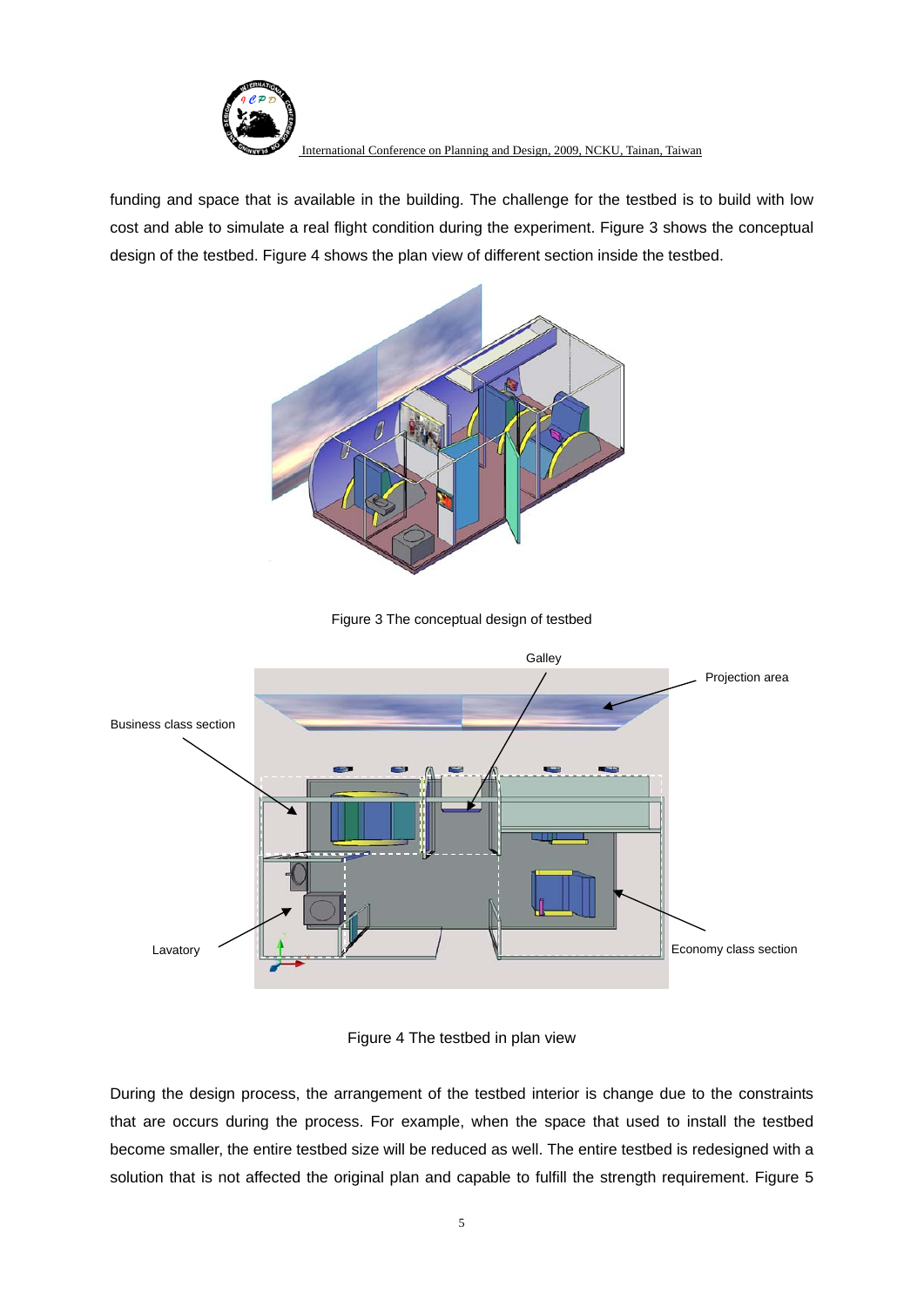

funding and space that is available in the building. The challenge for the testbed is to build with low cost and able to simulate a real flight condition during the experiment. Figure 3 shows the conceptual design of the testbed. Figure 4 shows the plan view of different section inside the testbed.







Figure 4 The testbed in plan view

During the design process, the arrangement of the testbed interior is change due to the constraints that are occurs during the process. For example, when the space that used to install the testbed become smaller, the entire testbed size will be reduced as well. The entire testbed is redesigned with a solution that is not affected the original plan and capable to fulfill the strength requirement. Figure 5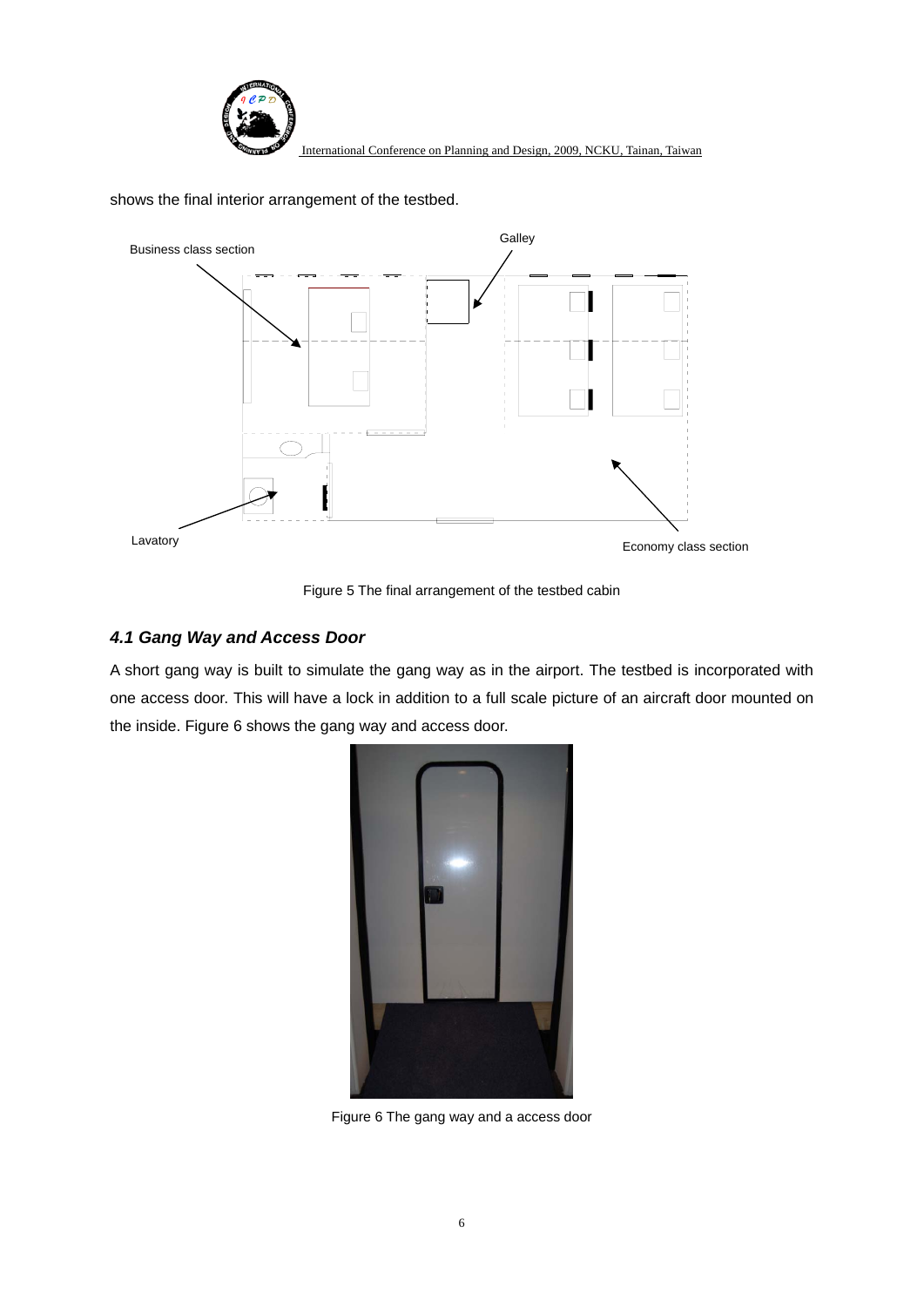

shows the final interior arrangement of the testbed.



Figure 5 The final arrangement of the testbed cabin

#### *4.1 Gang Way and Access Door*

A short gang way is built to simulate the gang way as in the airport. The testbed is incorporated with one access door. This will have a lock in addition to a full scale picture of an aircraft door mounted on the inside. Figure 6 shows the gang way and access door.



Figure 6 The gang way and a access door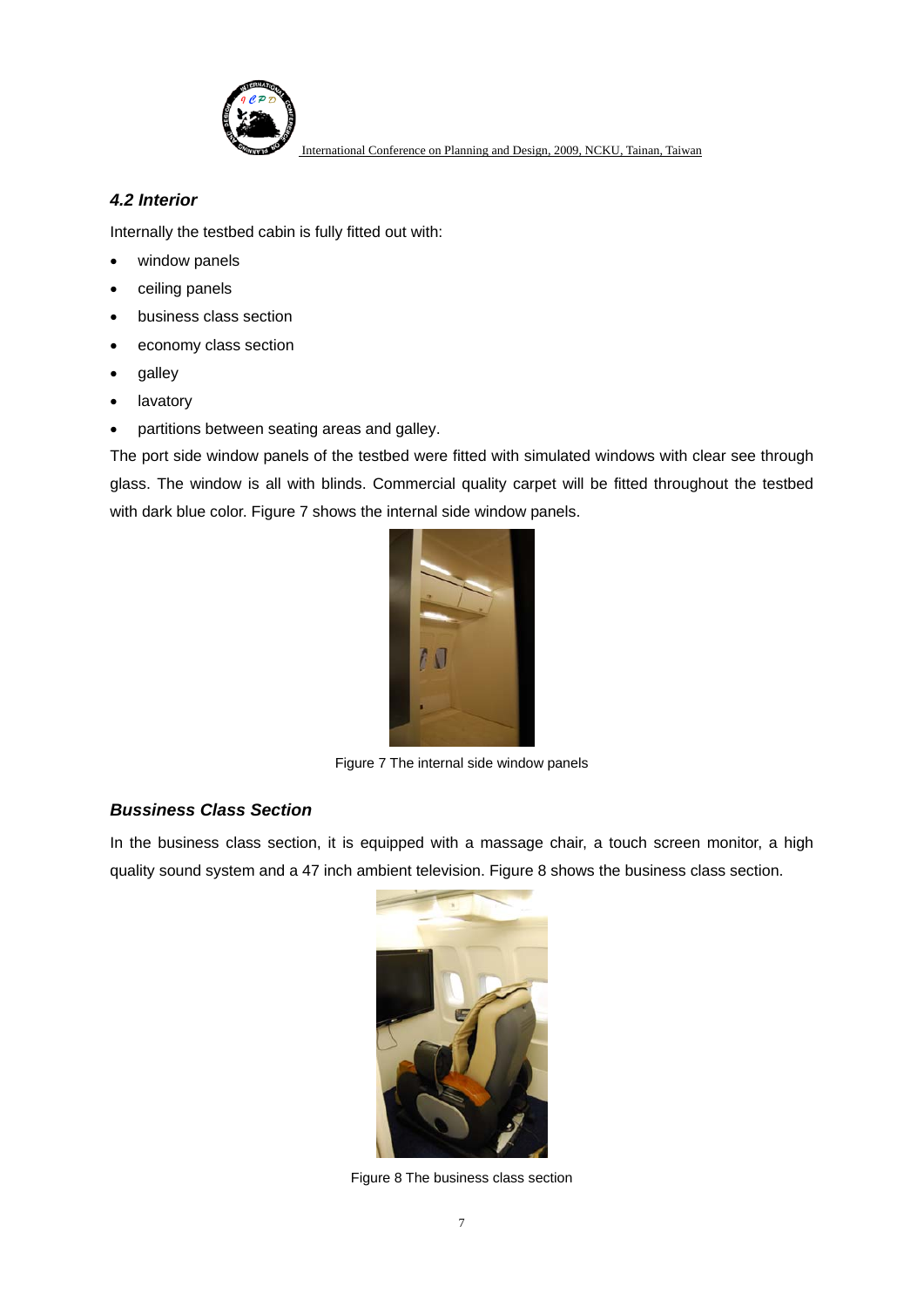

#### *4.2 Interior*

Internally the testbed cabin is fully fitted out with:

- window panels
- ceiling panels
- business class section
- economy class section
- galley
- lavatory
- partitions between seating areas and galley.

The port side window panels of the testbed were fitted with simulated windows with clear see through glass. The window is all with blinds. Commercial quality carpet will be fitted throughout the testbed with dark blue color. Figure 7 shows the internal side window panels.



Figure 7 The internal side window panels

## *Bussiness Class Section*

In the business class section, it is equipped with a massage chair, a touch screen monitor, a high quality sound system and a 47 inch ambient television. Figure 8 shows the business class section.



Figure 8 The business class section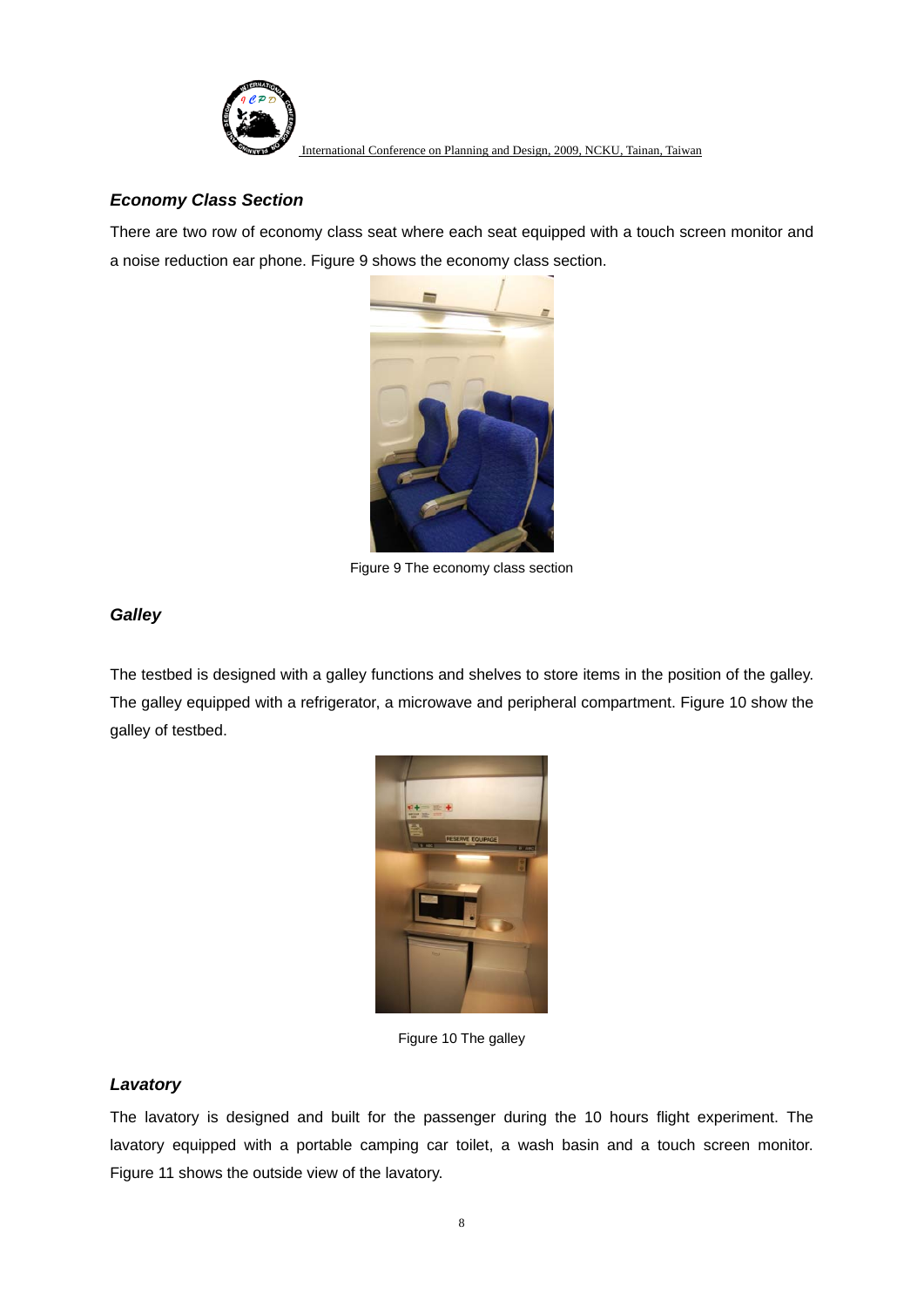

## *Economy Class Section*

There are two row of economy class seat where each seat equipped with a touch screen monitor and a noise reduction ear phone. Figure 9 shows the economy class section.



Figure 9 The economy class section

## *Galley*

The testbed is designed with a galley functions and shelves to store items in the position of the galley. The galley equipped with a refrigerator, a microwave and peripheral compartment. Figure 10 show the galley of testbed.



Figure 10 The galley

## *Lavatory*

The lavatory is designed and built for the passenger during the 10 hours flight experiment. The lavatory equipped with a portable camping car toilet, a wash basin and a touch screen monitor. Figure 11 shows the outside view of the lavatory.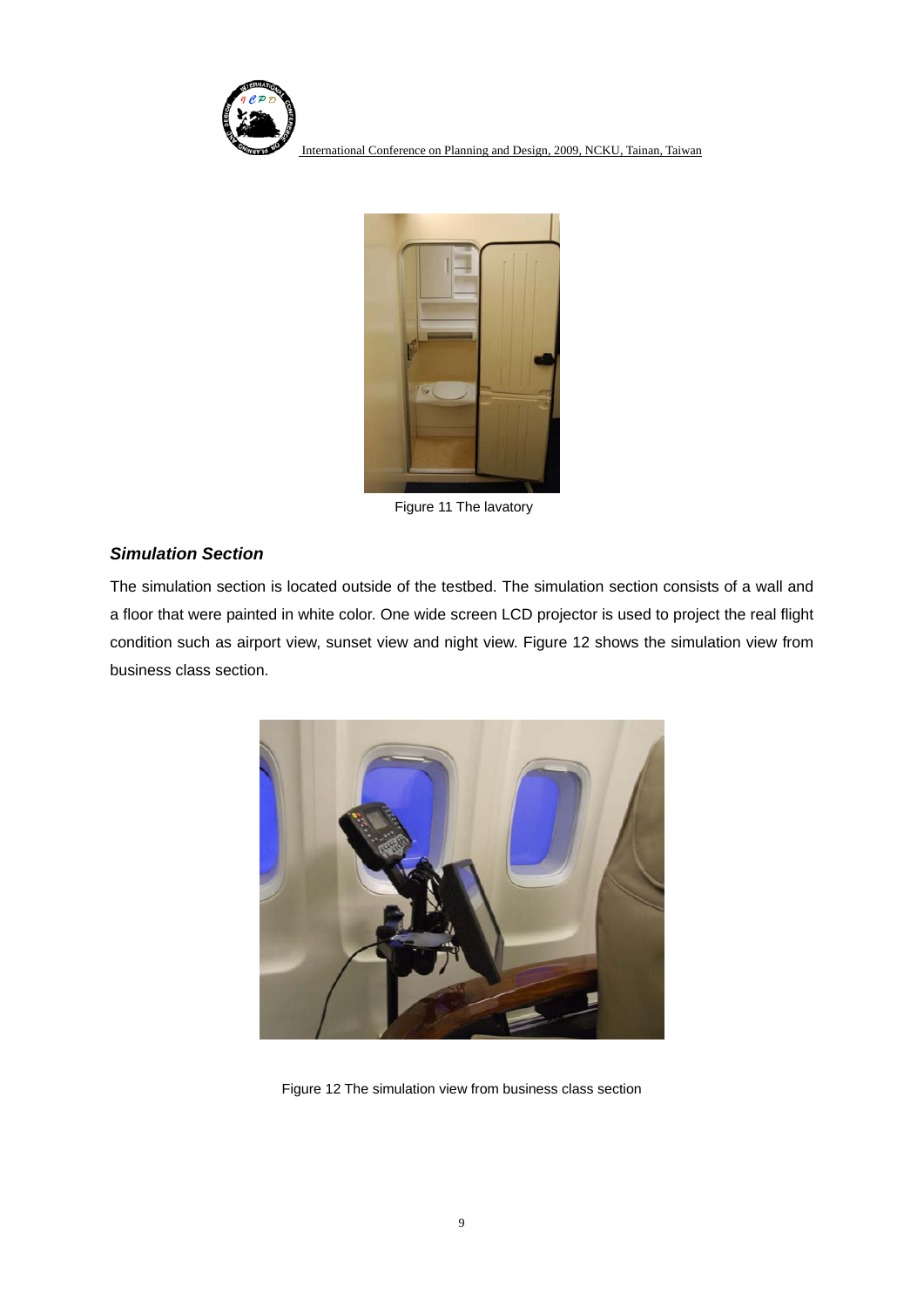



Figure 11 The lavatory

#### *Simulation Section*

The simulation section is located outside of the testbed. The simulation section consists of a wall and a floor that were painted in white color. One wide screen LCD projector is used to project the real flight condition such as airport view, sunset view and night view. Figure 12 shows the simulation view from business class section.



Figure 12 The simulation view from business class section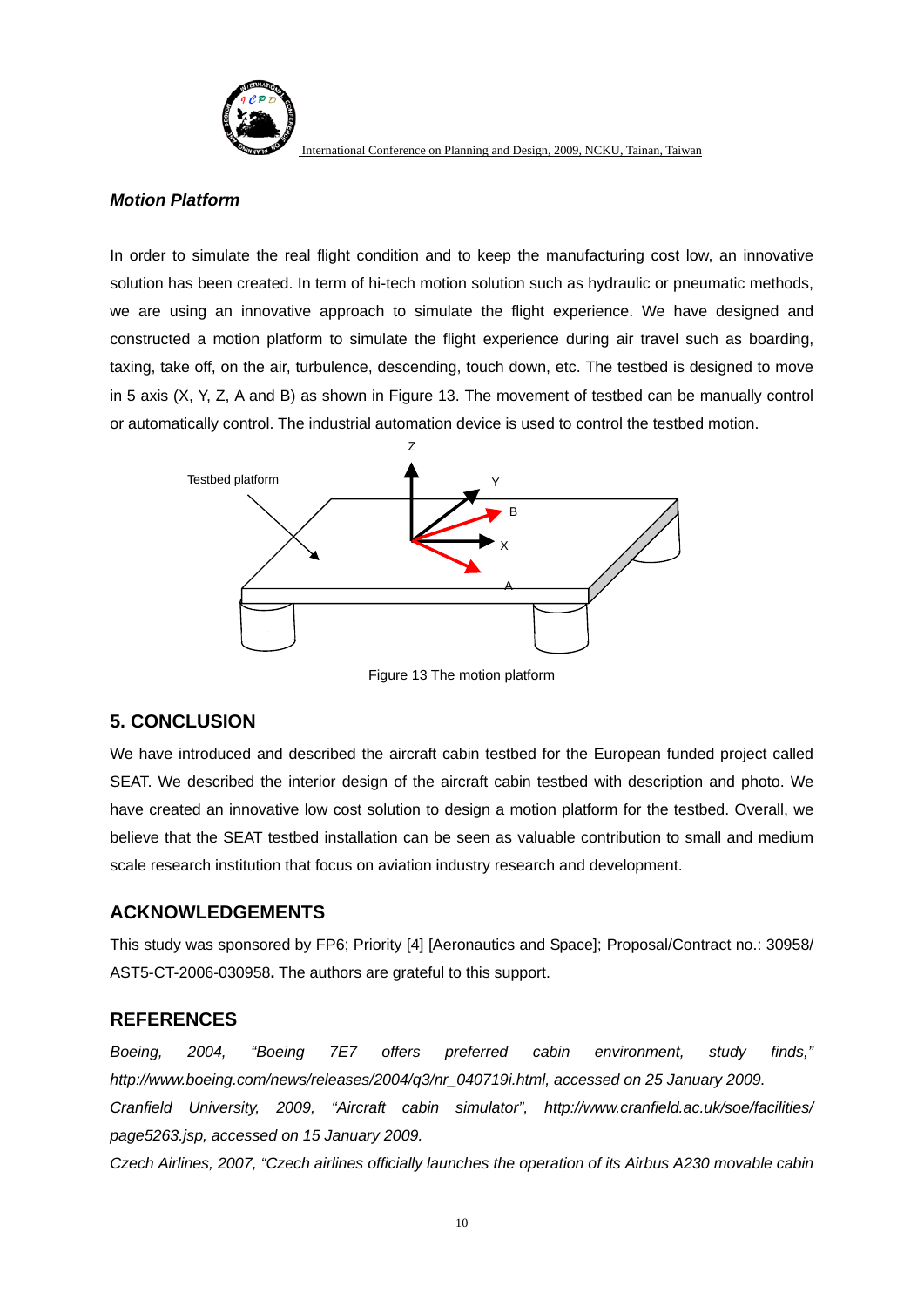

#### *Motion Platform*

In order to simulate the real flight condition and to keep the manufacturing cost low, an innovative solution has been created. In term of hi-tech motion solution such as hydraulic or pneumatic methods, we are using an innovative approach to simulate the flight experience. We have designed and constructed a motion platform to simulate the flight experience during air travel such as boarding, taxing, take off, on the air, turbulence, descending, touch down, etc. The testbed is designed to move in 5 axis (X, Y, Z, A and B) as shown in Figure 13. The movement of testbed can be manually control or automatically control. The industrial automation device is used to control the testbed motion.



Figure 13 The motion platform

## **5. CONCLUSION**

We have introduced and described the aircraft cabin testbed for the European funded project called SEAT. We described the interior design of the aircraft cabin testbed with description and photo. We have created an innovative low cost solution to design a motion platform for the testbed. Overall, we believe that the SEAT testbed installation can be seen as valuable contribution to small and medium scale research institution that focus on aviation industry research and development.

## **ACKNOWLEDGEMENTS**

This study was sponsored by FP6; Priority [4] [Aeronautics and Space]; Proposal/Contract no.: 30958/ AST5-CT-2006-030958**.** The authors are grateful to this support.

## **REFERENCES**

*Boeing, 2004, "Boeing 7E7 offers preferred cabin environment, study finds," http://www.boeing.com/news/releases/2004/q3/nr\_040719i.html, accessed on 25 January 2009. Cranfield University, 2009, "Aircraft cabin simulator", http://www.cranfield.ac.uk/soe/facilities/ page5263.jsp, accessed on 15 January 2009.* 

*Czech Airlines, 2007, "Czech airlines officially launches the operation of its Airbus A230 movable cabin*